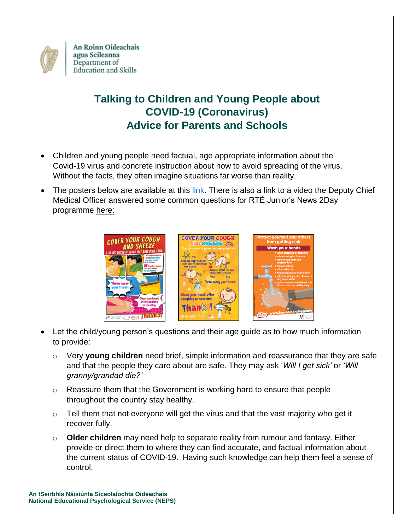

An Roinn Oideachais agus Scileanna Department of **Education and Skills** 

## **Talking to Children and Young People about COVID-19 (Coronavirus) Advice for Parents and Schools**

- Children and young people need factual, age appropriate information about the Covid-19 virus and concrete instruction about how to avoid spreading of the virus. Without the facts, they often imagine situations far worse than reality.
- The posters below are available at this [link.](https://www.education.ie/en/The-Department/Announcements/information-for-schools-preschools-and-third-level-institutions-on-the-coronavirus.html#2) There is also a link to a video the Deputy Chief Medical Officer answered some common questions for RTÉ Junior's News 2Day programme [here:](https://www.youtube.com/watch?v=yTTgUDRgeRk&list=PLKdME9gs3do-HuP0UXGy9QxrN2YERJOr8&index=2&t=0s)



- Let the child/young person's questions and their age guide as to how much information to provide:
	- o Very **young children** need brief, simple information and reassurance that they are safe and that the people they care about are safe. They may ask '*Will I get sick'* or *'Will granny/grandad die?'*
	- o Reassure them that the Government is working hard to ensure that people throughout the country stay healthy.
	- $\circ$  Tell them that not everyone will get the virus and that the vast majority who get it recover fully.
	- o **Older children** may need help to separate reality from rumour and fantasy. Either provide or direct them to where they can find accurate, and factual information about the current status of COVID-19. Having such knowledge can help them feel a sense of control.